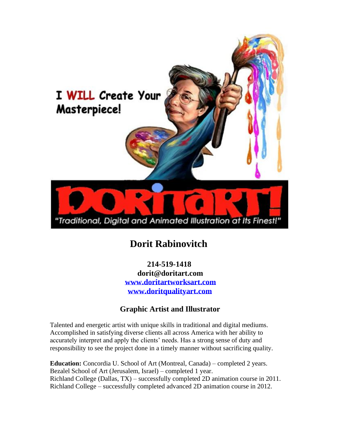

# **Dorit Rabinovitch**

 **214-519-1418 dorit@doritart.com [www.doritartworksart.com](http://www.doritartworksart.com/) [www.doritqualityart.com](http://www.doritqualityart.com/)**

## **Graphic Artist and Illustrator**

Talented and energetic artist with unique skills in traditional and digital mediums. Accomplished in satisfying diverse clients all across America with her ability to accurately interpret and apply the clients' needs. Has a strong sense of duty and responsibility to see the project done in a timely manner without sacrificing quality.

**Education:** Concordia U. School of Art (Montreal, Canada) – completed 2 years. Bezalel School of Art (Jerusalem, Israel) – completed 1 year. Richland College (Dallas, TX) – successfully completed 2D animation course in 2011. Richland College – successfully completed advanced 2D animation course in 2012.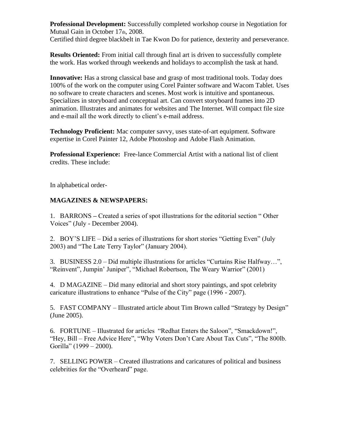**Professional Development:** Successfully completed workshop course in Negotiation for Mutual Gain in October 17th, 2008.

Certified third degree blackbelt in Tae Kwon Do for patience, dexterity and perseverance.

**Results Oriented:** From initial call through final art is driven to successfully complete the work. Has worked through weekends and holidays to accomplish the task at hand.

**Innovative:** Has a strong classical base and grasp of most traditional tools. Today does 100% of the work on the computer using Corel Painter software and Wacom Tablet. Uses no software to create characters and scenes. Most work is intuitive and spontaneous. Specializes in storyboard and conceptual art. Can convert storyboard frames into 2D animation. Illustrates and animates for websites and The Internet. Will compact file size and e-mail all the work directly to client's e-mail address.

**Technology Proficient:** Mac computer savvy, uses state-of-art equipment. Software expertise in Corel Painter 12, Adobe Photoshop and Adobe Flash Animation.

**Professional Experience:** Free-lance Commercial Artist with a national list of client credits. These include:

In alphabetical order-

### **MAGAZINES & NEWSPAPERS:**

1.BARRONS **–** Created a series of spot illustrations for the editorial section " Other Voices" (July - December 2004).

2. BOY'S LIFE – Did a series of illustrations for short stories "Getting Even" (July 2003) and "The Late Terry Taylor" (January 2004).

3. BUSINESS 2.0 – Did multiple illustrations for articles "Curtains Rise Halfway…", "Reinvent", Jumpin' Juniper", "Michael Robertson, The Weary Warrior" (2001)

4. D MAGAZINE – Did many editorial and short story paintings, and spot celebrity caricature illustrations to enhance "Pulse of the City" page (1996 - 2007).

5. FAST COMPANY – Illustrated article about Tim Brown called "Strategy by Design" (June 2005).

6. FORTUNE – Illustrated for articles "Redhat Enters the Saloon", "Smackdown!", "Hey, Bill – Free Advice Here", "Why Voters Don't Care About Tax Cuts", "The 800lb. Gorilla" (1999 – 2000).

7. SELLING POWER – Created illustrations and caricatures of political and business celebrities for the "Overheard" page.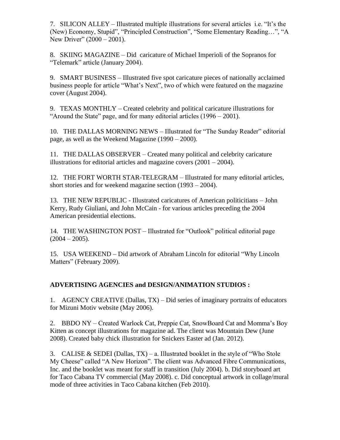7. SILICON ALLEY – Illustrated multiple illustrations for several articles i.e. "It's the (New) Economy, Stupid", "Principled Construction", "Some Elementary Reading…", "A New Driver" (2000 – 2001).

8. SKIING MAGAZINE – Did caricature of Michael Imperioli of the Sopranos for "Telemark" article (January 2004).

9. SMART BUSINESS – Illustrated five spot caricature pieces of nationally acclaimed business people for article "What's Next", two of which were featured on the magazine cover (August 2004).

9. TEXAS MONTHLY – Created celebrity and political caricature illustrations for "Around the State" page, and for many editorial articles (1996 – 2001).

10. THE DALLAS MORNING NEWS – Illustrated for "The Sunday Reader" editorial page, as well as the Weekend Magazine (1990 – 2000).

11. THE DALLAS OBSERVER – Created many political and celebrity caricature illustrations for editorial articles and magazine covers (2001 – 2004).

12. THE FORT WORTH STAR-TELEGRAM – Illustrated for many editorial articles, short stories and for weekend magazine section (1993 – 2004).

13. THE NEW REPUBLIC - Illustrated caricatures of American politicitians – John Kerry, Rudy Giuliani, and John McCain - for various articles preceding the 2004 American presidential elections.

14. THE WASHINGTON POST – Illustrated for "Outlook" political editorial page  $(2004 - 2005)$ .

15. USA WEEKEND – Did artwork of Abraham Lincoln for editorial "Why Lincoln Matters" (February 2009).

#### **ADVERTISING AGENCIES and DESIGN/ANIMATION STUDIOS :**

1. AGENCY CREATIVE (Dallas, TX) – Did series of imaginary portraits of educators for Mizuni Motiv website (May 2006).

2. BBDO NY – Created Warlock Cat, Preppie Cat, SnowBoard Cat and Momma's Boy Kitten as concept illustrations for magazine ad. The client was Mountain Dew (June 2008). Created baby chick illustration for Snickers Easter ad (Jan. 2012).

3. CALISE & SEDEI (Dallas,  $TX$ ) – a. Illustrated booklet in the style of "Who Stole" My Cheese" called "A New Horizon". The client was Advanced Fibre Communications, Inc. and the booklet was meant for staff in transition (July 2004). b. Did storyboard art for Taco Cabana TV commercial (May 2008). c. Did conceptual artwork in collage/mural mode of three activities in Taco Cabana kitchen (Feb 2010).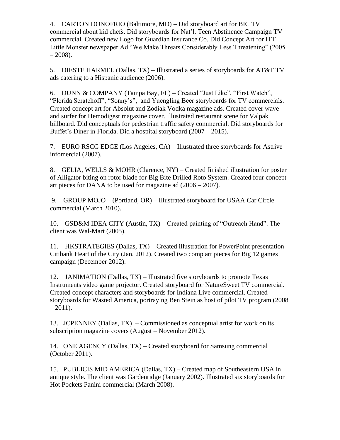4. CARTON DONOFRIO (Baltimore, MD) – Did storyboard art for BIC TV commercial about kid chefs. Did storyboards for Nat'l. Teen Abstinence Campaign TV commercial. Created new Logo for Guardian Insurance Co. Did Concept Art for ITT Little Monster newspaper Ad "We Make Threats Considerably Less Threatening" (2005  $-2008$ ).

5. DIESTE HARMEL (Dallas, TX) – Illustrated a series of storyboards for AT&T TV ads catering to a Hispanic audience (2006).

6. DUNN & COMPANY (Tampa Bay, FL) – Created "Just Like", "First Watch", "Florida Scratchoff", "Sonny's", and Yuengling Beer storyboards for TV commercials. Created concept art for Absolut and Zodiak Vodka magazine ads. Created cover wave and surfer for Hemodigest magazine cover. Illustrated restaurant scene for Valpak billboard. Did conceptuals for pedestrian traffic safety commercial. Did storyboards for Buffet's Diner in Florida. Did a hospital storyboard (2007 – 2015).

7. EURO RSCG EDGE (Los Angeles, CA) – Illustrated three storyboards for Astrive infomercial (2007).

8. GELIA, WELLS & MOHR (Clarence, NY) – Created finished illustration for poster of Alligator biting on rotor blade for Big Bite Drilled Roto System. Created four concept art pieces for DANA to be used for magazine ad (2006 – 2007).

9. GROUP MOJO – (Portland, OR) – Illustrated storyboard for USAA Car Circle commercial (March 2010).

10. GSD&M IDEA CITY (Austin, TX) – Created painting of "Outreach Hand". The client was Wal-Mart (2005).

11. HKSTRATEGIES (Dallas, TX) – Created illustration for PowerPoint presentation Citibank Heart of the City (Jan. 2012). Created two comp art pieces for Big 12 games campaign (December 2012).

12. JANIMATION (Dallas, TX) – Illustrated five storyboards to promote Texas Instruments video game projector. Created storyboard for NatureSweet TV commercial. Created concept characters and storyboards for Indiana Live commercial. Created storyboards for Wasted America, portraying Ben Stein as host of pilot TV program (2008  $-2011$ ).

13. JCPENNEY (Dallas, TX) – Commissioned as conceptual artist for work on its subscription magazine covers (August – November 2012).

14. ONE AGENCY (Dallas, TX) – Created storyboard for Samsung commercial (October 2011).

15. PUBLICIS MID AMERICA (Dallas, TX) – Created map of Southeastern USA in antique style. The client was Gardenridge (January 2002). Illustrated six storyboards for Hot Pockets Panini commercial (March 2008).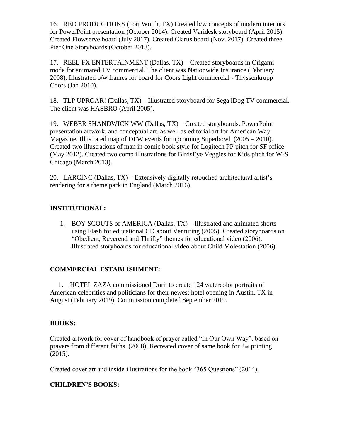16. RED PRODUCTIONS (Fort Worth, TX) Created b/w concepts of modern interiors for PowerPoint presentation (October 2014). Created Varidesk storyboard (April 2015). Created Flowserve board (July 2017). Created Clarus board (Nov. 2017). Created three Pier One Storyboards (October 2018).

17. REEL FX ENTERTAINMENT (Dallas, TX) – Created storyboards in Origami mode for animated TV commercial. The client was Nationwide Insurance (February 2008). Illustrated b/w frames for board for Coors Light commercial - Thyssenkrupp Coors (Jan 2010).

18. TLP UPROAR! (Dallas, TX) – Illustrated storyboard for Sega iDog TV commercial. The client was HASBRO (April 2005).

19. WEBER SHANDWICK WW (Dallas, TX) – Created storyboards, PowerPoint presentation artwork, and conceptual art, as well as editorial art for American Way Magazine. Illustrated map of DFW events for upcoming Superbowl (2005 – 2010). Created two illustrations of man in comic book style for Logitech PP pitch for SF office (May 2012). Created two comp illustrations for BirdsEye Veggies for Kids pitch for W-S Chicago (March 2013).

20. LARCINC (Dallas, TX) – Extensively digitally retouched architectural artist's rendering for a theme park in England (March 2016).

#### **INSTITUTIONAL:**

1. BOY SCOUTS of AMERICA (Dallas, TX) – Illustrated and animated shorts using Flash for educational CD about Venturing (2005). Created storyboards on "Obedient, Reverend and Thrifty" themes for educational video (2006). Illustrated storyboards for educational video about Child Molestation (2006).

#### **COMMERCIAL ESTABLISHMENT:**

 1. HOTEL ZAZA commissioned Dorit to create 124 watercolor portraits of American celebrities and politicians for their newest hotel opening in Austin, TX in August (February 2019). Commission completed September 2019.

#### **BOOKS:**

Created artwork for cover of handbook of prayer called "In Our Own Way", based on prayers from different faiths. (2008). Recreated cover of same book for 2nd printing (2015).

Created cover art and inside illustrations for the book "365 Questions" (2014).

#### **CHILDREN'S BOOKS:**